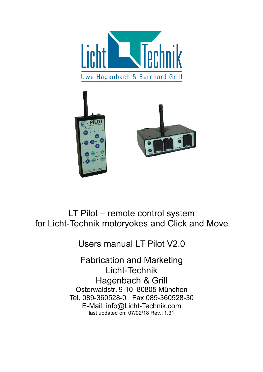



# LT Pilot – remote control system for Licht-Technik motoryokes and Click and Move

Users manual LT Pilot V2.0

Fabrication and Marketing Licht-Technik Hagenbach & Grill Osterwaldstr. 9-10 80805 München Tel. 089-360528-0 Fax 089-360528-30 E-Mail: info@Licht-Technik.com last updated on: 07/02/18 Rev.: 1.31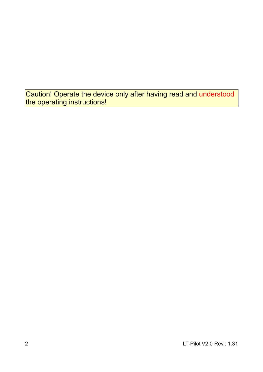Caution! Operate the device only after having read and understood the operating instructions!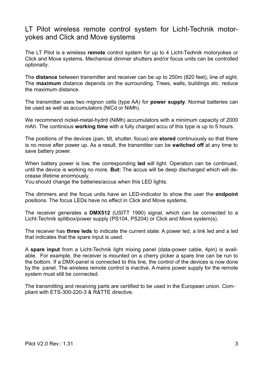### LT Pilot wireless remote control system for Licht-Technik motoryokes and Click and Move systems

The LT Pilot is a wireless **remote** control system for up to 4 Licht-Technik motoryokes or Click and Move systems. Mechanical dimmer shutters and/or focus units can be controlled optionally.

The **distance** between transmitter and receiver can be up to 250m (820 feet), line of sight. The **maximum** distance depends on the surrounding. Trees, walls, buildings etc. reduce the maximum distance.

The transmitter uses two mignon cells (type AA) for **power supply**. Normal batteries can be used as well as accumulators (NiCd or NiMh).

We recommend nickel-metal-hydrd (NiMh) accumulators with a minimum capacity of 2000 mAh. The continious **working time** with a fully charged accu of this type is up to 5 hours.

The positions of the devices (pan, tilt, shutter, focus) are **stored** continuously so that there is no move after power up. As a result, the transmitter can be **switched off** at any time to save battery power.

When battery power is low, the corresponding **led** will light. Operation can be continued, until the device is working no more. **But:** The accus will be deep discharged which will decrease lifetime enormously.

You should change the batteries/accus when this LED lights.

The dimmers and the focus units have an LED-indicator to show the user the **endpoint** positions. The focus LEDs have no effect in Click and Move systems.

The receiver generates a **DMX512** (USITT 1990) signal, which can be connected to a Licht-Technik splitbox/power supply (PS104, PS204) or Click and Move system(s).

The receiver has **three leds** to indicate the current state: A power led, a link led and a led that indicates that the spare input is used.

A **spare input** from a Licht-Technik light mixing panel (data-power cable, 4pin) is available. For example, the receiver is mounted on a cherry picker a spare line can be run to the bottom. If a DMX-panel is connected to this line, the control of the devices is now done by the panel. The wireless remote control is inactive. A mains power supply for the remote system must still be connected.

The transmitting and receiving parts are certified to be used in the European union. Compliant with ETS-300-220-3 & R&TTE directive.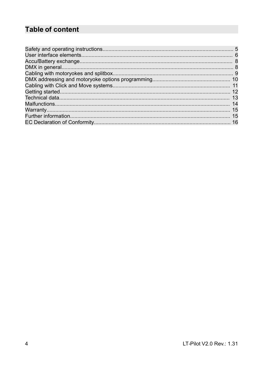# **Table of content**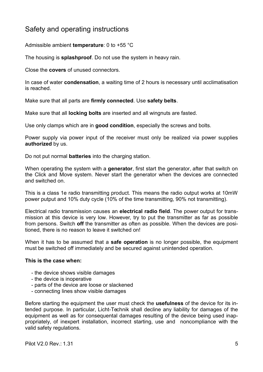### Safety and operating instructions

Admissible ambient **temperature**: 0 to +55 °C

The housing is **splashproof**. Do not use the system in heavy rain.

Close the **covers** of unused connectors.

In case of water **condensation**, a waiting time of 2 hours is necessary until acclimatisation is reached.

Make sure that all parts are **firmly connected**. Use **safety belts**.

Make sure that all **locking bolts** are inserted and all wingnuts are fasted.

Use only clamps which are in **good condition**, especially the screws and bolts.

Power supply via power input of the receiver must only be realized via power supplies **authorized** by us.

Do not put normal **batteries** into the charging station.

When operating the system with a **generator**, first start the generator, after that switch on the Click and Move system. Never start the generator when the devices are connected and switched on.

This is a class 1e radio transmitting product. This means the radio output works at 10mW power putput and 10% duty cycle (10% of the time transmitting, 90% not transmitting).

Electrical radio transmission causes an **electrical radio field**. The power output for transmission at this device is very low. However, try to put the transmitter as far as possible from persons. Switch **off** the transmitter as often as possible. When the devices are positioned, there is no reason to leave it switched on!

When it has to be assumed that a **safe operation** is no longer possible, the equipment must be switched off immediately and be secured against unintended operation.

#### **This is the case when:**

- the device shows visible damages
- the device is inoperative
- parts of the device are loose or slackened
- connecting lines show visible damages

Before starting the equipment the user must check the **usefulness** of the device for its intended purpose. In particular, Licht-Technik shall decline any liability for damages of the equipment as well as for consequental damages resulting of the device being used inappropriately, of inexpert installation, incorrect starting, use and noncompliance with the valid safety regulations.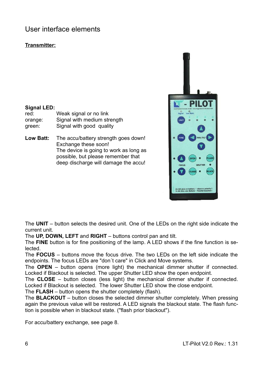### User interface elements

### **Transmitter:**

#### **Signal LED:**

red: Weak signal or no link orange: Signal with medium strength green: Signal with good quality

**Low Batt:** The accu/battery strength goes down! Exchange these soon! The device is going to work as long as possible, but please remember that deep discharge will damage the accu!



The **UNIT** – button selects the desired unit. One of the LEDs on the right side indicate the current unit.

The **UP, DOWN, LEFT** and **RIGHT** – buttons control pan and tilt.

The **FINE** button is for fine positioning of the lamp. A LED shows if the fine function is selected.

The **FOCUS** – buttons move the focus drive. The two LEDs on the left side indicate the endpoints. The focus LEDs are "don´t care" in Click and Move systems.

The **OPEN** – button opens (more light) the mechanical dimmer shutter if connected. Locked if Blackout is selected. The upper Shutter LED show the open endpoint.

The **CLOSE** – button closes (less light) the mechanical dimmer shutter if connected. Locked if Blackout is selected. The lower Shutter LED show the close endpoint.

The **FLASH** – button opens the shutter completely (flash).

The **BLACKOUT** – button closes the selected dimmer shutter completely. When pressing again the previous value will be restored. A LED signals the blackout state. The flash function is possible when in blackout state. ("flash prior blackout").

For accu/battery exchange, see page 8.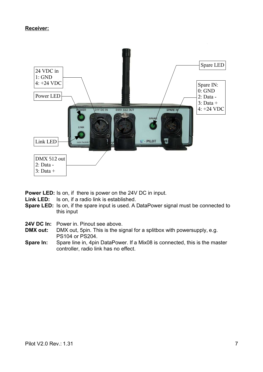#### **Receiver:**



**Power LED:** Is on, if there is power on the 24V DC in input.

- **Link LED:** Is on, if a radio link is established.
- **Spare LED:** Is on, if the spare input is used. A DataPower signal must be connected to this input
- **24V DC In:** Power in. Pinout see above.
- **DMX out:** DMX out, 5pin. This is the signal for a splitbox with powersupply, e.g. PS104 or PS204.
- **Spare In:** Spare line in, 4pin DataPower. If a Mix08 is connected, this is the master controller, radio link has no effect.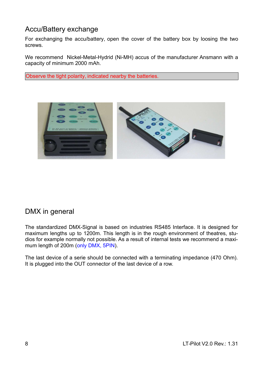### Accu/Battery exchange

For exchanging the accu/battery, open the cover of the battery box by loosing the two screws.

We recommend Nickel-Metal-Hydrid (Ni-MH) accus of the manufacturer Ansmann with a capacity of minimum 2000 mAh.

Observe the tight polarity, indicated nearby the batteries.



### DMX in general

The standardized DMX-Signal is based on industries RS485 Interface. It is designed for maximum lengths up to 1200m. This length is in the rough environment of theatres, studios for example normally not possible. As a result of internal tests we recommend a maximum length of 200m (only DMX, 5PIN).

The last device of a serie should be connected with a terminating impedance (470 Ohm). It is plugged into the OUT connector of the last device of a row.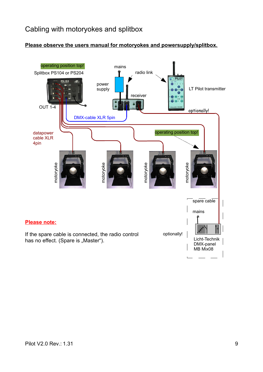## Cabling with motoryokes and splitbox

### **Please observe the users manual for motoryokes and powersupply/splitbox.**

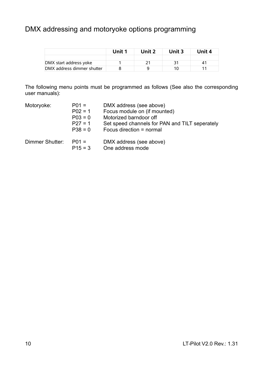## DMX addressing and motoryoke options programming

|                            | Unit 1 | Unit 2 | Unit 3 | Unit 4 |
|----------------------------|--------|--------|--------|--------|
|                            |        |        |        |        |
| DMX start address yoke     |        |        |        | 4      |
| DMX address dimmer shutter |        |        |        |        |

The following menu points must be programmed as follows (See also the corresponding user manuals):

| Motoryoke:      | $P01 =$<br>$P02 = 1$<br>$P03 = 0$<br>$P27 = 1$<br>$P38 = 0$ | DMX address (see above)<br>Focus module on (if mounted)<br>Motorized barndoor off<br>Set speed channels for PAN and TILT seperately<br>Focus direction = normal |
|-----------------|-------------------------------------------------------------|-----------------------------------------------------------------------------------------------------------------------------------------------------------------|
| Dimmer Shutter: | $P01 =$<br>$P15 = 3$                                        | DMX address (see above)<br>One address mode                                                                                                                     |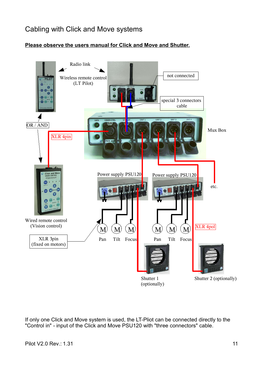## Cabling with Click and Move systems



### **Please observe the users manual for Click and Move and Shutter.**

If only one Click and Move system is used, the LT-Pliot can be connected directly to the "Control in" - input of the Click and Move PSU120 with "three connectors" cable.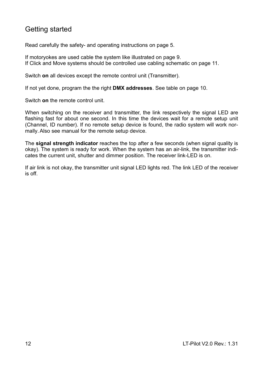## Getting started

Read carefully the safety- and operating instructions on page 5.

If motoryokes are used cable the system like illustrated on page 9. If Click and Move systems should be controlled use cabling schematic on page 11.

Switch **on** all devices except the remote control unit (Transmitter).

If not yet done, program the the right **DMX addresses**. See table on page 10.

Switch **on** the remote control unit.

When switching on the receiver and transmitter, the link respectively the signal LED are flashing fast for about one second. In this time the devices wait for a remote setup unit (Channel, ID number). If no remote setup device is found, the radio system will work normally.Also see manual for the remote setup device.

The **signal strength indicator** reaches the top after a few seconds (when signal quality is okay). The system is ready for work. When the system has an air-link, the transmitter indicates the current unit, shutter and dimmer position. The receiver link-LED is on.

If air link is not okay, the transmitter unit signal LED lights red. The link LED of the receiver is off.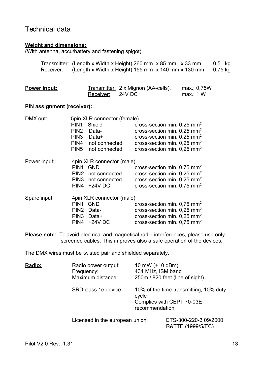### Technical data

#### **Weight and dimensions:**

(With antenna, accu/battery and fastening spigot)

|           | Transmitter: (Length x Width x Height) 260 mm $\times$ 85 mm $\times$ 33 mm |  | $0,5$ kg |  |
|-----------|-----------------------------------------------------------------------------|--|----------|--|
| Receiver: | (Length x Width x Height) $155$ mm x $140$ mm x $130$ mm                    |  | 0,75 kg  |  |

| Power input: |                  | Transmitter: 2 x Mignon (AA-cells), | max.: 0,75W |
|--------------|------------------|-------------------------------------|-------------|
|              | Receiver: 24V DC |                                     | max.: 1 W   |

#### **PIN assignment (receiver):**

| DMX out:     |                           | 5pin XLR connector (female) |                                           |  |  |
|--------------|---------------------------|-----------------------------|-------------------------------------------|--|--|
|              | PIN <sub>1</sub>          | Shield                      | cross-section min. $0.25$ mm <sup>2</sup> |  |  |
|              | PIN <sub>2</sub>          | Data-                       | cross-section min. $0.25$ mm <sup>2</sup> |  |  |
|              | PIN <sub>3</sub>          | Data+                       | cross-section min. $0.25$ mm <sup>2</sup> |  |  |
|              | PIN <sub>4</sub>          | not connected               | cross-section min. $0.25$ mm <sup>2</sup> |  |  |
|              | PIN <sub>5</sub>          | not connected               | cross-section min. $0.25$ mm <sup>2</sup> |  |  |
| Power input: |                           | 4pin XLR connector (male)   |                                           |  |  |
|              | PIN <sub>1</sub>          | <b>GND</b>                  | cross-section min. $0.75$ mm <sup>2</sup> |  |  |
|              | PIN <sub>2</sub>          | not connected               | cross-section min. $0.25$ mm <sup>2</sup> |  |  |
|              | PIN3                      | not connected               | cross-section min. $0.25$ mm <sup>2</sup> |  |  |
|              | PIN4                      | $+24V$ DC                   | cross-section min. $0.75$ mm <sup>2</sup> |  |  |
| Spare input: | 4pin XLR connector (male) |                             |                                           |  |  |
|              | PIN <sub>1</sub>          | <b>GND</b>                  | cross-section min. $0.75$ mm <sup>2</sup> |  |  |
|              | PIN <sub>2</sub>          | Data-                       | cross-section min. $0.25$ mm <sup>2</sup> |  |  |
|              | PIN <sub>3</sub>          | Data+                       | cross-section min. $0.25$ mm <sup>2</sup> |  |  |
|              | PIN <sub>4</sub>          | $+24V$ DC                   | cross-section min. $0.75$ mm <sup>2</sup> |  |  |

**Please note:** To avoid electrical and magnetical radio interferences, please use only screened cables. This improves also a safe operation of the devices.

The DMX wires must be twisted pair and shielded separately.

| Radio: | Radio power output:<br>Frequency:<br>Maximum distance: | 10 mW (+10 dBm)<br>434 MHz, ISM band<br>250m / 820 feet (line of sight)                        |  |  |
|--------|--------------------------------------------------------|------------------------------------------------------------------------------------------------|--|--|
|        | SRD class 1e device:                                   | 10% of the time transmitting, 10% duty<br>cycle<br>Complies with CEPT 70-03E<br>recommendation |  |  |
|        |                                                        | Licensed in the european union.                                                                |  |  |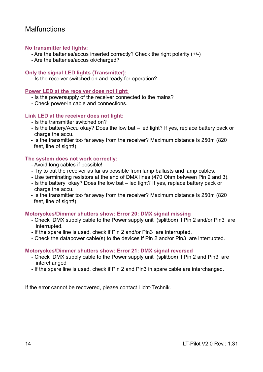### **Malfunctions**

### **No transmitter led lights:**

- Are the batteries/accus inserted correctly? Check the right polarity (+/-)
- Are the batteries/accus ok/charged?

### **Only the signal LED lights (Transmitter):**

- Is the receiver switched on and ready for operation?

#### **Power LED at the receiver does not light:**

- Is the powersupply of the receiver connected to the mains?
- Check power-in cable and connections.

#### **Link LED at the receiver does not light:**

- Is the transmitter switched on?
- Is the battery/Accu okay? Does the low bat led light? If yes, replace battery pack or charge the accu.
- Is the transmitter too far away from the receiver? Maximum distance is 250m (820 feet, line of sight!)

#### **The system does not work correctly:**

- Avoid long cables if possible!
- Try to put the receiver as far as possible from lamp ballasts and lamp cables.
- Use terminating resistors at the end of DMX lines (470 Ohm between Pin 2 and 3).
- Is the battery okay? Does the low bat led light? If yes, replace battery pack or charge the accu.
- Is the transmitter too far away from the receiver? Maximum distance is 250m (820 feet, line of sight!)

#### **Motoryokes/Dimmer shutters show: Error 20: DMX signal missing**

- Check DMX supply cable to the Power supply unit (splitbox) if Pin 2 and/or Pin3 are interrupted.
- If the spare line is used, check if Pin 2 and/or Pin3 are interrupted.
- Check the datapower cable(s) to the devices if Pin 2 and/or Pin3 are interrupted.

#### **Motoryokes/Dimmer shutters show: Error 21: DMX signal reversed**

- Check DMX supply cable to the Power supply unit (splitbox) if Pin 2 and Pin3 are interchanged
- If the spare line is used, check if Pin 2 and Pin3 in spare cable are interchanged.

If the error cannot be recovered, please contact Licht-Technik.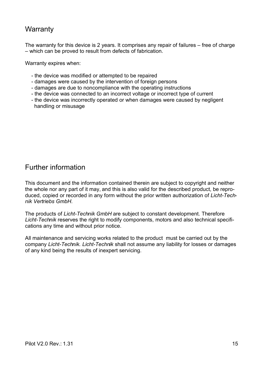### **Warranty**

The warranty for this device is 2 years. It comprises any repair of failures – free of charge – which can be proved to result from defects of fabrication.

Warranty expires when:

- the device was modified or attempted to be repaired
- damages were caused by the intervention of foreign persons
- damages are due to noncompliance with the operating instructions
- the device was connected to an incorrect voltage or incorrect type of current
- the device was incorrectly operated or when damages were caused by negligent handling or misusage

### Further information

This document and the information contained therein are subject to copyright and neither the whole nor any part of it may, and this is also valid for the described product, be reproduced, copied or recorded in any form without the prior written authorization of *Licht-Technik Vertriebs GmbH*.

The products of *Licht-Technik GmbH* are subject to constant development. Therefore *Licht-Technik* reserves the right to modify components, motors and also technical specifications any time and without prior notice.

All maintenance and servicing works related to the product must be carried out by the company *Licht-Technik. Licht-Technik* shall not assume any liability for losses or damages of any kind being the results of inexpert servicing.